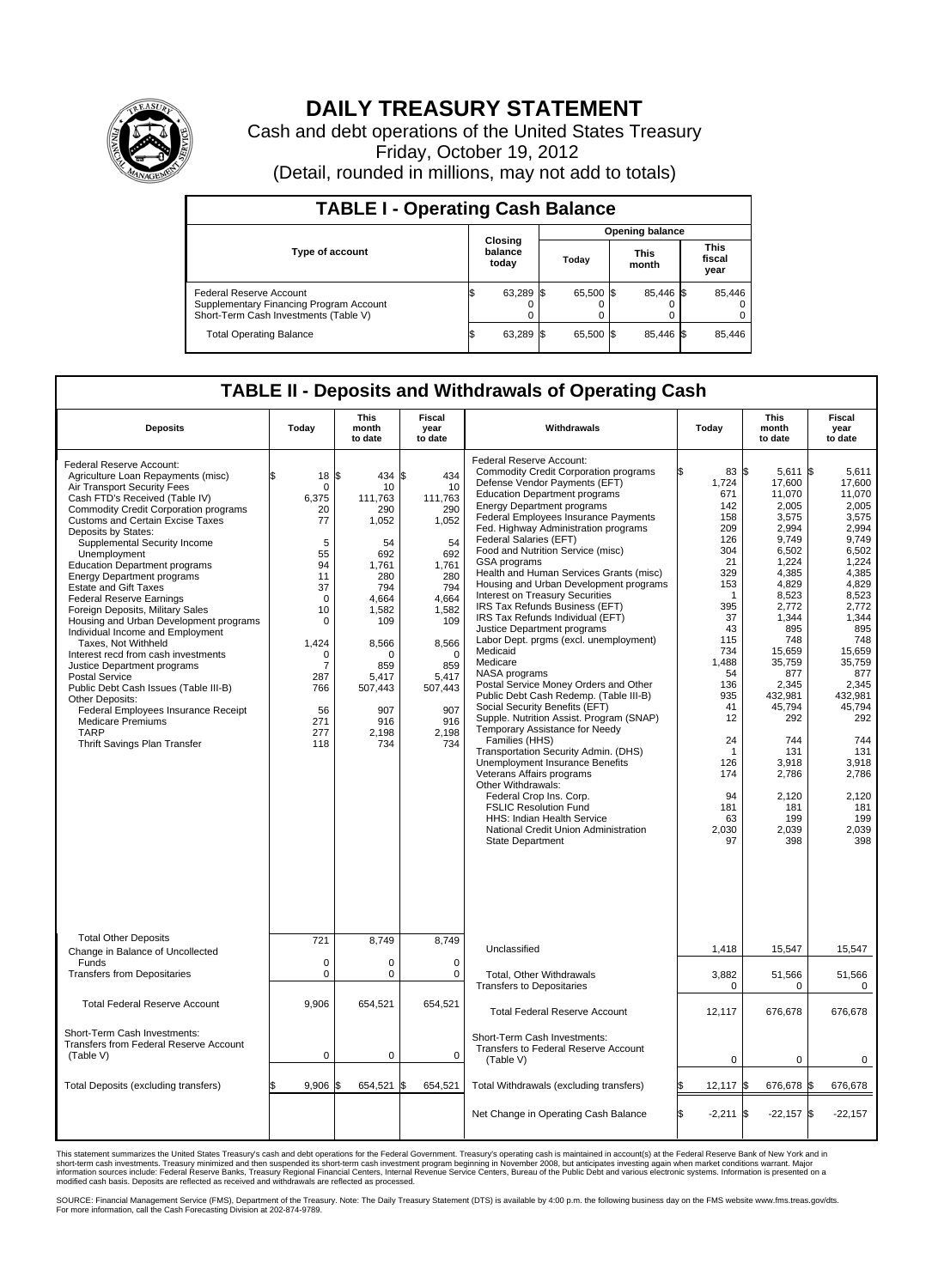

## **DAILY TREASURY STATEMENT**

Cash and debt operations of the United States Treasury Friday, October 19, 2012 (Detail, rounded in millions, may not add to totals)

| <b>TABLE I - Operating Cash Balance</b>                                                                     |                             |  |                        |  |                      |  |                               |  |  |
|-------------------------------------------------------------------------------------------------------------|-----------------------------|--|------------------------|--|----------------------|--|-------------------------------|--|--|
|                                                                                                             |                             |  | <b>Opening balance</b> |  |                      |  |                               |  |  |
| Type of account                                                                                             | Closing<br>balance<br>today |  | Today                  |  | <b>This</b><br>month |  | <b>This</b><br>fiscal<br>year |  |  |
| Federal Reserve Account<br>Supplementary Financing Program Account<br>Short-Term Cash Investments (Table V) | 63,289<br>0                 |  | 65,500 \$              |  | 85,446 \$            |  | 85,446                        |  |  |
| <b>Total Operating Balance</b>                                                                              | 63,289                      |  | 65,500 \$              |  | 85.446 \$            |  | 85,446                        |  |  |

## **TABLE II - Deposits and Withdrawals of Operating Cash**

| <b>Deposits</b>                                                                                                                                                                                                                                                                                                                                                                                                                                                                                                                                                                                                                                                                                                                                                                                                                                                  | Today                                                                                                                                                                               | <b>This</b><br>month<br>to date                                                                                                                                                        | Fiscal<br>year<br>to date                                                                                                                                                              | Withdrawals                                                                                                                                                                                                                                                                                                                                                                                                                                                                                                                                                                                                                                                                                                                                                                                                                                                                                                                                                                                                                                                                                                                                                                                 | Today                                                                                                                                                                                                                  | <b>This</b><br>month<br>to date                                                                                                                                                                                                                                                        | Fiscal<br>year<br>to date                                                                                                                                                                                                                                                         |
|------------------------------------------------------------------------------------------------------------------------------------------------------------------------------------------------------------------------------------------------------------------------------------------------------------------------------------------------------------------------------------------------------------------------------------------------------------------------------------------------------------------------------------------------------------------------------------------------------------------------------------------------------------------------------------------------------------------------------------------------------------------------------------------------------------------------------------------------------------------|-------------------------------------------------------------------------------------------------------------------------------------------------------------------------------------|----------------------------------------------------------------------------------------------------------------------------------------------------------------------------------------|----------------------------------------------------------------------------------------------------------------------------------------------------------------------------------------|---------------------------------------------------------------------------------------------------------------------------------------------------------------------------------------------------------------------------------------------------------------------------------------------------------------------------------------------------------------------------------------------------------------------------------------------------------------------------------------------------------------------------------------------------------------------------------------------------------------------------------------------------------------------------------------------------------------------------------------------------------------------------------------------------------------------------------------------------------------------------------------------------------------------------------------------------------------------------------------------------------------------------------------------------------------------------------------------------------------------------------------------------------------------------------------------|------------------------------------------------------------------------------------------------------------------------------------------------------------------------------------------------------------------------|----------------------------------------------------------------------------------------------------------------------------------------------------------------------------------------------------------------------------------------------------------------------------------------|-----------------------------------------------------------------------------------------------------------------------------------------------------------------------------------------------------------------------------------------------------------------------------------|
| Federal Reserve Account:<br>Agriculture Loan Repayments (misc)<br>Air Transport Security Fees<br>Cash FTD's Received (Table IV)<br>Commodity Credit Corporation programs<br><b>Customs and Certain Excise Taxes</b><br>Deposits by States:<br>Supplemental Security Income<br>Unemployment<br><b>Education Department programs</b><br><b>Energy Department programs</b><br><b>Estate and Gift Taxes</b><br><b>Federal Reserve Earnings</b><br>Foreign Deposits, Military Sales<br>Housing and Urban Development programs<br>Individual Income and Employment<br>Taxes, Not Withheld<br>Interest recd from cash investments<br>Justice Department programs<br><b>Postal Service</b><br>Public Debt Cash Issues (Table III-B)<br>Other Deposits:<br>Federal Employees Insurance Receipt<br><b>Medicare Premiums</b><br><b>TARP</b><br>Thrift Savings Plan Transfer | ſ.<br>18<br>0<br>6,375<br>20<br>77<br>5<br>55<br>94<br>11<br>37<br>$\mathbf 0$<br>10<br>$\mathbf 0$<br>1,424<br>$\Omega$<br>$\overline{7}$<br>287<br>766<br>56<br>271<br>277<br>118 | l\$<br>434<br>10<br>111.763<br>290<br>1,052<br>54<br>692<br>1,761<br>280<br>794<br>4,664<br>1.582<br>109<br>8,566<br>$\Omega$<br>859<br>5,417<br>507,443<br>907<br>916<br>2.198<br>734 | l\$<br>434<br>10<br>111,763<br>290<br>1,052<br>54<br>692<br>1,761<br>280<br>794<br>4,664<br>1,582<br>109<br>8,566<br>$\Omega$<br>859<br>5,417<br>507,443<br>907<br>916<br>2.198<br>734 | <b>Federal Reserve Account:</b><br><b>Commodity Credit Corporation programs</b><br>Defense Vendor Payments (EFT)<br><b>Education Department programs</b><br><b>Energy Department programs</b><br>Federal Employees Insurance Payments<br>Fed. Highway Administration programs<br>Federal Salaries (EFT)<br>Food and Nutrition Service (misc)<br>GSA programs<br>Health and Human Services Grants (misc)<br>Housing and Urban Development programs<br>Interest on Treasury Securities<br>IRS Tax Refunds Business (EFT)<br>IRS Tax Refunds Individual (EFT)<br>Justice Department programs<br>Labor Dept. prgms (excl. unemployment)<br>Medicaid<br>Medicare<br>NASA programs<br>Postal Service Money Orders and Other<br>Public Debt Cash Redemp. (Table III-B)<br>Social Security Benefits (EFT)<br>Supple. Nutrition Assist. Program (SNAP)<br>Temporary Assistance for Needy<br>Families (HHS)<br>Transportation Security Admin. (DHS)<br>Unemployment Insurance Benefits<br>Veterans Affairs programs<br>Other Withdrawals:<br>Federal Crop Ins. Corp.<br><b>FSLIC Resolution Fund</b><br>HHS: Indian Health Service<br>National Credit Union Administration<br><b>State Department</b> | 83 \$<br>1,724<br>671<br>142<br>158<br>209<br>126<br>304<br>21<br>329<br>153<br>1<br>395<br>37<br>43<br>115<br>734<br>1,488<br>54<br>136<br>935<br>41<br>12<br>24<br>1<br>126<br>174<br>94<br>181<br>63<br>2,030<br>97 | $5,611$ \$<br>17,600<br>11,070<br>2,005<br>3.575<br>2,994<br>9,749<br>6,502<br>1,224<br>4,385<br>4,829<br>8,523<br>2,772<br>1,344<br>895<br>748<br>15,659<br>35,759<br>877<br>2,345<br>432,981<br>45,794<br>292<br>744<br>131<br>3,918<br>2,786<br>2.120<br>181<br>199<br>2,039<br>398 | 5,611<br>17,600<br>11,070<br>2.005<br>3.575<br>2,994<br>9.749<br>6.502<br>1.224<br>4,385<br>4,829<br>8.523<br>2,772<br>1,344<br>895<br>748<br>15,659<br>35,759<br>877<br>2,345<br>432.981<br>45,794<br>292<br>744<br>131<br>3,918<br>2,786<br>2.120<br>181<br>199<br>2,039<br>398 |
| <b>Total Other Deposits</b><br>Change in Balance of Uncollected                                                                                                                                                                                                                                                                                                                                                                                                                                                                                                                                                                                                                                                                                                                                                                                                  | 721                                                                                                                                                                                 | 8,749                                                                                                                                                                                  | 8,749                                                                                                                                                                                  | Unclassified                                                                                                                                                                                                                                                                                                                                                                                                                                                                                                                                                                                                                                                                                                                                                                                                                                                                                                                                                                                                                                                                                                                                                                                | 1,418                                                                                                                                                                                                                  | 15,547                                                                                                                                                                                                                                                                                 | 15,547                                                                                                                                                                                                                                                                            |
| Funds<br><b>Transfers from Depositaries</b>                                                                                                                                                                                                                                                                                                                                                                                                                                                                                                                                                                                                                                                                                                                                                                                                                      | $\mathbf 0$<br>0                                                                                                                                                                    | 0<br>$\mathbf 0$                                                                                                                                                                       | $\Omega$<br>0                                                                                                                                                                          | <b>Total, Other Withdrawals</b>                                                                                                                                                                                                                                                                                                                                                                                                                                                                                                                                                                                                                                                                                                                                                                                                                                                                                                                                                                                                                                                                                                                                                             | 3,882                                                                                                                                                                                                                  | 51,566                                                                                                                                                                                                                                                                                 | 51,566                                                                                                                                                                                                                                                                            |
|                                                                                                                                                                                                                                                                                                                                                                                                                                                                                                                                                                                                                                                                                                                                                                                                                                                                  |                                                                                                                                                                                     |                                                                                                                                                                                        |                                                                                                                                                                                        | <b>Transfers to Depositaries</b>                                                                                                                                                                                                                                                                                                                                                                                                                                                                                                                                                                                                                                                                                                                                                                                                                                                                                                                                                                                                                                                                                                                                                            | 0                                                                                                                                                                                                                      | 0                                                                                                                                                                                                                                                                                      | 0                                                                                                                                                                                                                                                                                 |
| <b>Total Federal Reserve Account</b>                                                                                                                                                                                                                                                                                                                                                                                                                                                                                                                                                                                                                                                                                                                                                                                                                             | 9,906                                                                                                                                                                               | 654,521                                                                                                                                                                                | 654,521                                                                                                                                                                                | <b>Total Federal Reserve Account</b>                                                                                                                                                                                                                                                                                                                                                                                                                                                                                                                                                                                                                                                                                                                                                                                                                                                                                                                                                                                                                                                                                                                                                        | 12,117                                                                                                                                                                                                                 | 676,678                                                                                                                                                                                                                                                                                | 676,678                                                                                                                                                                                                                                                                           |
| Short-Term Cash Investments:<br>Transfers from Federal Reserve Account<br>(Table V)                                                                                                                                                                                                                                                                                                                                                                                                                                                                                                                                                                                                                                                                                                                                                                              | 0                                                                                                                                                                                   | $\mathbf 0$                                                                                                                                                                            | $\mathbf 0$                                                                                                                                                                            | Short-Term Cash Investments:<br>Transfers to Federal Reserve Account<br>(Table V)                                                                                                                                                                                                                                                                                                                                                                                                                                                                                                                                                                                                                                                                                                                                                                                                                                                                                                                                                                                                                                                                                                           | $\mathbf 0$                                                                                                                                                                                                            | $\mathbf 0$                                                                                                                                                                                                                                                                            | $\mathbf 0$                                                                                                                                                                                                                                                                       |
| Total Deposits (excluding transfers)                                                                                                                                                                                                                                                                                                                                                                                                                                                                                                                                                                                                                                                                                                                                                                                                                             | 9,906                                                                                                                                                                               | l\$<br>654,521                                                                                                                                                                         | 654,521<br>ß.                                                                                                                                                                          | Total Withdrawals (excluding transfers)                                                                                                                                                                                                                                                                                                                                                                                                                                                                                                                                                                                                                                                                                                                                                                                                                                                                                                                                                                                                                                                                                                                                                     | 12,117                                                                                                                                                                                                                 | 676,678 \$                                                                                                                                                                                                                                                                             | 676,678                                                                                                                                                                                                                                                                           |
|                                                                                                                                                                                                                                                                                                                                                                                                                                                                                                                                                                                                                                                                                                                                                                                                                                                                  |                                                                                                                                                                                     |                                                                                                                                                                                        |                                                                                                                                                                                        | Net Change in Operating Cash Balance                                                                                                                                                                                                                                                                                                                                                                                                                                                                                                                                                                                                                                                                                                                                                                                                                                                                                                                                                                                                                                                                                                                                                        | l\$<br>$-2,211$ \$                                                                                                                                                                                                     | $-22.157$ \$                                                                                                                                                                                                                                                                           | $-22,157$                                                                                                                                                                                                                                                                         |

This statement summarizes the United States Treasury's cash and debt operations for the Federal Government. Treasury's operating cash is maintained in account(s) at the Federal Reserve Bank of New York and in<br>short-term ca

SOURCE: Financial Management Service (FMS), Department of the Treasury. Note: The Daily Treasury Statement (DTS) is available by 4:00 p.m. the following business day on the FMS website www.fms.treas.gov/dts.<br>For more infor